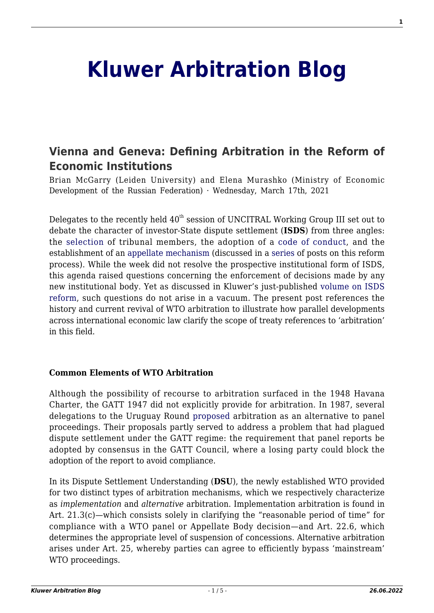# **[Kluwer Arbitration Blog](http://arbitrationblog.kluwerarbitration.com/)**

# **[Vienna and Geneva: Defining Arbitration in the Reform of](http://arbitrationblog.kluwerarbitration.com/2021/03/17/vienna-and-geneva-defining-arbitration-in-the-reform-of-economic-institutions/) [Economic Institutions](http://arbitrationblog.kluwerarbitration.com/2021/03/17/vienna-and-geneva-defining-arbitration-in-the-reform-of-economic-institutions/)**

Brian McGarry (Leiden University) and Elena Murashko (Ministry of Economic Development of the Russian Federation) · Wednesday, March 17th, 2021

Delegates to the recently held  $40<sup>th</sup>$  session of UNCITRAL Working Group III set out to debate the character of investor-State dispute settlement (**ISDS**) from three angles: the [selection](https://undocs.org/Home/Mobile?FinalSymbol=A%2FCN.9%2FWG.III%2FWP.203&Language=E&DeviceType=Desktop) of tribunal members, the adoption of a [code of conduct](http://arbitrationblog.kluwerarbitration.com/2020/05/02/icsid-and-uncitral-publish-the-anticipated-draft-of-the-code-of-conduct-for-adjudicators-in-investor-state-dispute-settlement/), and the establishment of an [appellate mechanism](http://arbitrationblog.kluwerarbitration.com/2021/02/11/could-an-appellate-review-mechanism-fix-the-isds-system/) (discussed in a [series](http://arbitrationblog.kluwerarbitration.com/category/archives/uncitral-wg-iii-series/) of posts on this reform process). While the week did not resolve the prospective institutional form of ISDS, this agenda raised questions concerning the enforcement of decisions made by any new institutional body. Yet as discussed in Kluwer's just-published [volume on ISDS](https://lrus.wolterskluwer.com/store/product/the-investor-state-dispute-settlement-system-reform-replace-or-status-quo/) [reform](https://lrus.wolterskluwer.com/store/product/the-investor-state-dispute-settlement-system-reform-replace-or-status-quo/), such questions do not arise in a vacuum. The present post references the history and current revival of WTO arbitration to illustrate how parallel developments across international economic law clarify the scope of treaty references to 'arbitration' in this field.

#### **Common Elements of WTO Arbitration**

Although the possibility of recourse to arbitration surfaced in the 1948 Havana Charter, the GATT 1947 did not explicitly provide for arbitration. In 1987, several delegations to the Uruguay Round [proposed](https://docs.wto.org/gattdocs/q/UR/GNGNG13/3.PDF) arbitration as an alternative to panel proceedings. Their proposals partly served to address a problem that had plagued dispute settlement under the GATT regime: the requirement that panel reports be adopted by consensus in the GATT Council, where a losing party could block the adoption of the report to avoid compliance.

In its Dispute Settlement Understanding (**DSU**), the newly established WTO provided for two distinct types of arbitration mechanisms, which we respectively characterize as *implementation* and *alternative* arbitration. Implementation arbitration is found in Art. 21.3(c)—which consists solely in clarifying the "reasonable period of time" for compliance with a WTO panel or Appellate Body decision—and Art. 22.6, which determines the appropriate level of suspension of concessions. Alternative arbitration arises under Art. 25, whereby parties can agree to efficiently bypass 'mainstream' WTO proceedings.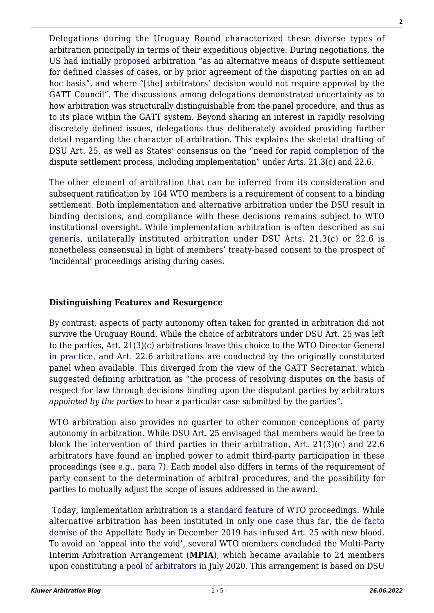Delegations during the Uruguay Round characterized these diverse types of arbitration principally in terms of their expeditious objective. During negotiations, the US had initially [proposed](https://docs.wto.org/gattdocs/q/UR/GNGNG13/W6.PDF) arbitration "as an alternative means of dispute settlement for defined classes of cases, or by prior agreement of the disputing parties on an ad hoc basis", and where "[the] arbitrators' decision would not require approval by the GATT Council". The discussions among delegations demonstrated uncertainty as to how arbitration was structurally distinguishable from the panel procedure, and thus as to its place within the GATT system. Beyond sharing an interest in rapidly resolving discretely defined issues, delegations thus deliberately avoided providing further detail regarding the character of arbitration. This explains the skeletal drafting of DSU Art. 25, as well as States' consensus on the "need for [rapid completion](https://docs.wto.org/gattdocs/q/UR/GNGNG13/W43.PDF) of the dispute settlement process, including implementation" under Arts. 21.3(c) and 22.6.

The other element of arbitration that can be inferred from its consideration and subsequent ratification by 164 WTO members is a requirement of consent to a binding settlement. Both implementation and alternative arbitration under the DSU result in binding decisions, and compliance with these decisions remains subject to WTO institutional oversight. While implementation arbitration is often described as [sui](https://archive-ouverte.unige.ch/unige:42318) [generis](https://archive-ouverte.unige.ch/unige:42318), unilaterally instituted arbitration under DSU Arts. 21.3(c) or 22.6 is nonetheless consensual in light of members' treaty-based consent to the prospect of 'incidental' proceedings arising during cases.

#### **Distinguishing Features and Resurgence**

By contrast, aspects of party autonomy often taken for granted in arbitration did not survive the Uruguay Round. While the choice of arbitrators under DSU Art. 25 was left to the parties, Art. 21(3)(c) arbitrations leave this choice to the WTO Director-General [in practice,](https://www.wto.org/english/tratop_e/dispu_e/arbitrations_e.htm) and Art. 22.6 arbitrations are conducted by the originally constituted panel when available. This diverged from the view of the GATT Secretariat, which suggested [defining arbitration](https://docs.wto.org/gattdocs/q/UR/GNGNG13/W20.PDF) as "the process of resolving disputes on the basis of respect for law through decisions binding upon the disputant parties by arbitrators *appointed by the parties* to hear a particular case submitted by the parties".

WTO arbitration also provides no quarter to other common conceptions of party autonomy in arbitration. While DSU Art. 25 envisaged that members would be free to block the intervention of third parties in their arbitration, Art. 21(3)(c) and 22.6 arbitrators have found an implied power to admit third-party participation in these proceedings (see e.g., [para 7\).](https://docs.wto.org/dol2fe/Pages/SS/directdoc.aspx?filename=Q:/WT/DS/26ARB.pdf&Open=True) Each model also differs in terms of the requirement of party consent to the determination of arbitral procedures, and the possibility for parties to mutually adjust the scope of issues addressed in the award.

Today, implementation arbitration is a [standard feature](https://www.wto.org/english/tratop_e/dispu_e/dispustats_e.htm#sus_obl) of WTO proceedings. While alternative arbitration has been instituted in only [one case](https://docs.wto.org/dol2fe/Pages/SS/directdoc.aspx?filename=Q:/WT/DS/160ARB25-1.pdf&Open=True) thus far, the [de facto](http://arbitrationblog.kluwerarbitration.com/2020/05/14/arbitration-in-the-wto-changing-regimes-under-the-new-multi-party-interim-appeal-arbitration-arrangement/) [demise](http://arbitrationblog.kluwerarbitration.com/2020/05/14/arbitration-in-the-wto-changing-regimes-under-the-new-multi-party-interim-appeal-arbitration-arrangement/) of the Appellate Body in December 2019 has infused Art. 25 with new blood. To avoid an 'appeal into the void', several WTO members concluded the Multi-Party Interim Arbitration Arrangement (**MPIA**), which became available to 24 members upon constituting a [pool of arbitrators](https://docs.wto.org/dol2fe/Pages/SS/directdoc.aspx?filename=q:/Jobs/DSB/1A12S5.pdf&Open=True) in July 2020. This arrangement is based on DSU **2**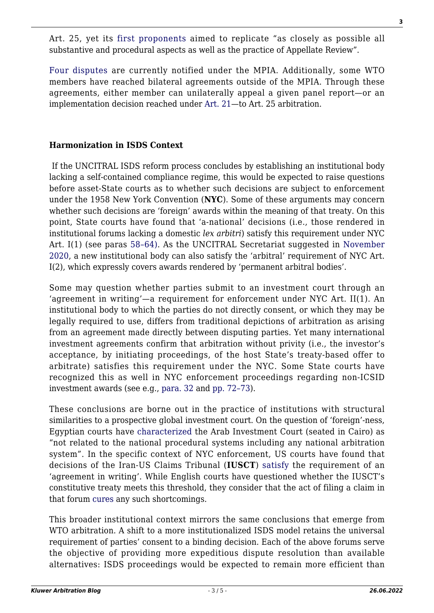Art. 25, yet its [first proponents](https://docs.wto.org/dol2fe/Pages/FE_Search/FE_S_S009-DP.aspx?language=E&CatalogueIdList=255924,255903,255904,255915,255914,255923,255917,255927,255921,255888,255889,255891,255892,255894,255887,255890,255893,255884,255885,255886,255895,255896,255897,255898,255899,255900,255901,255902,255905,255906,255907,255908,255910,255909,255911,255922,255926,255925,255868,255876,255864,255866,255865,255877,255882,255881,255879,255880,255883,255869&CurrentCatalogueIdIndex=48&FullTextHash=371857150&HasEnglishRecord=True&HasFrenchRecord=False&HasSpanishRecord=False) aimed to replicate "as closely as possible all substantive and procedural aspects as well as the practice of Appellate Review".

[Four disputes](https://ielp.worldtradelaw.net/2020/07/the-fourth-mpia-case.html) are currently notified under the MPIA. Additionally, some WTO members have reached bilateral agreements outside of the MPIA. Through these agreements, either member can unilaterally appeal a given panel report—or an implementation decision reached under [Art. 21](https://docs.wto.org/dol2fe/Pages/SS/directdoc.aspx?filename=q:/WT/DS/529-18.pdf&Open=True)—to Art. 25 arbitration.

## **Harmonization in ISDS Context**

If the UNCITRAL ISDS reform process concludes by establishing an institutional body lacking a self-contained compliance regime, this would be expected to raise questions before asset-State courts as to whether such decisions are subject to enforcement under the 1958 New York Convention (**NYC**). Some of these arguments may concern whether such decisions are 'foreign' awards within the meaning of that treaty. On this point, State courts have found that 'a-national' decisions (i.e., those rendered in institutional forums lacking a domestic *lex arbitri*) satisfy this requirement under NYC Art. I(1) (see paras [58–64\)](https://www.uncitral.org/pdf/english/texts/arbitration/NY-conv/2016_Guide_on_the_Convention.pdf). As the UNCITRAL Secretariat suggested in [November](https://undocs.org/Home/Mobile?FinalSymbol=A%2FCN.9%2FWG.III%2FWP.202&Language=E&DeviceType=Desktop) [2020](https://undocs.org/Home/Mobile?FinalSymbol=A%2FCN.9%2FWG.III%2FWP.202&Language=E&DeviceType=Desktop), a new institutional body can also satisfy the 'arbitral' requirement of NYC Art. I(2), which expressly covers awards rendered by 'permanent arbitral bodies'.

Some may question whether parties submit to an investment court through an 'agreement in writing'—a requirement for enforcement under NYC Art. II(1). An institutional body to which the parties do not directly consent, or which they may be legally required to use, differs from traditional depictions of arbitration as arising from an agreement made directly between disputing parties. Yet many international investment agreements confirm that arbitration without privity (i.e., the investor's acceptance, by initiating proceedings, of the host State's treaty-based offer to arbitrate) satisfies this requirement under the NYC. Some State courts have recognized this as well in NYC enforcement proceedings regarding non-ICSID investment awards (see e.g., [para. 32](https://jusmundi.com/en/document/decision/en-occidental-exploration-and-production-company-v-republic-of-ecuador-i-non-justiciability-of-challenge-to-arbitral-award-appeal-court-friday-9th-september-2005#decision_1274) and [pp. 72–73](https://newyorkconvention1958.org/index.php?lvl=notice_display&id=1212&opac_view=6)).

These conclusions are borne out in the practice of institutions with structural similarities to a prospective global investment court. On the question of 'foreign'-ness, Egyptian courts have [characterized](https://jusmundi.com/en/document/decision/en-mohamed-abdulmohsen-al-kharafi-sons-co-v-libya-and-others-judgment-of-the-cairo-court-of-appeal-unofficial-english-translation-wednesday-3rd-june-2020#decision_11421) the Arab Investment Court (seated in Cairo) as "not related to the national procedural systems including any national arbitration system". In the specific context of NYC enforcement, US courts have found that decisions of the Iran-US Claims Tribunal (**IUSCT**) [satisfy](https://newyorkconvention1958.org/index.php?lvl=notice_display&id=1153) the requirement of an 'agreement in writing'. While English courts have questioned whether the IUSCT's constitutive treaty meets this threshold, they consider that the act of filing a claim in that forum [cures](https://newyorkconvention1958.org/index.php?lvl=notice_display&id=1183&opac_view=6) any such shortcomings.

This broader institutional context mirrors the same conclusions that emerge from WTO arbitration. A shift to a more institutionalized ISDS model retains the universal requirement of parties' consent to a binding decision. Each of the above forums serve the objective of providing more expeditious dispute resolution than available alternatives: ISDS proceedings would be expected to remain more efficient than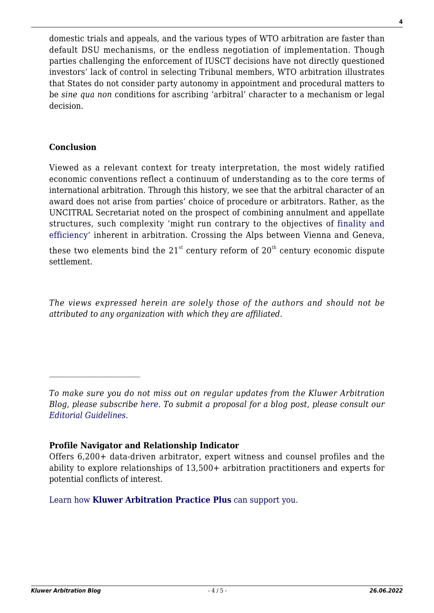domestic trials and appeals, and the various types of WTO arbitration are faster than default DSU mechanisms, or the endless negotiation of implementation. Though parties challenging the enforcement of IUSCT decisions have not directly questioned investors' lack of control in selecting Tribunal members, WTO arbitration illustrates that States do not consider party autonomy in appointment and procedural matters to be *sine qua non* conditions for ascribing 'arbitral' character to a mechanism or legal decision.

### **Conclusion**

Viewed as a relevant context for treaty interpretation, the most widely ratified economic conventions reflect a continuum of understanding as to the core terms of international arbitration. Through this history, we see that the arbitral character of an award does not arise from parties' choice of procedure or arbitrators. Rather, as the UNCITRAL Secretariat noted on the prospect of combining annulment and appellate structures, such complexity 'might run contrary to the objectives of [finality and](https://undocs.org/Home/Mobile?FinalSymbol=A%2FCN.9%2FWG.III%2FWP.202&Language=E&DeviceType=Desktop) [efficiency'](https://undocs.org/Home/Mobile?FinalSymbol=A%2FCN.9%2FWG.III%2FWP.202&Language=E&DeviceType=Desktop) inherent in arbitration. Crossing the Alps between Vienna and Geneva,

these two elements bind the  $21<sup>st</sup>$  century reform of  $20<sup>th</sup>$  century economic dispute settlement.

*The views expressed herein are solely those of the authors and should not be attributed to any organization with which they are affiliated.*

*To make sure you do not miss out on regular updates from the Kluwer Arbitration Blog, please subscribe [here](http://arbitrationblog.kluwerarbitration.com/newsletter/). To submit a proposal for a blog post, please consult our [Editorial Guidelines.](http://arbitrationblog.kluwerarbitration.com/editorial-guidelines/)*

#### **Profile Navigator and Relationship Indicator**

Offers 6,200+ data-driven arbitrator, expert witness and counsel profiles and the ability to explore relationships of 13,500+ arbitration practitioners and experts for potential conflicts of interest.

[Learn how](https://www.wolterskluwer.com/en/solutions/kluwerarbitration/practiceplus?utm_source=arbitrationblog&utm_medium=articleCTA&utm_campaign=article-banner) **[Kluwer Arbitration Practice Plus](https://www.wolterskluwer.com/en/solutions/kluwerarbitration/practiceplus?utm_source=arbitrationblog&utm_medium=articleCTA&utm_campaign=article-banner)** [can support you.](https://www.wolterskluwer.com/en/solutions/kluwerarbitration/practiceplus?utm_source=arbitrationblog&utm_medium=articleCTA&utm_campaign=article-banner)